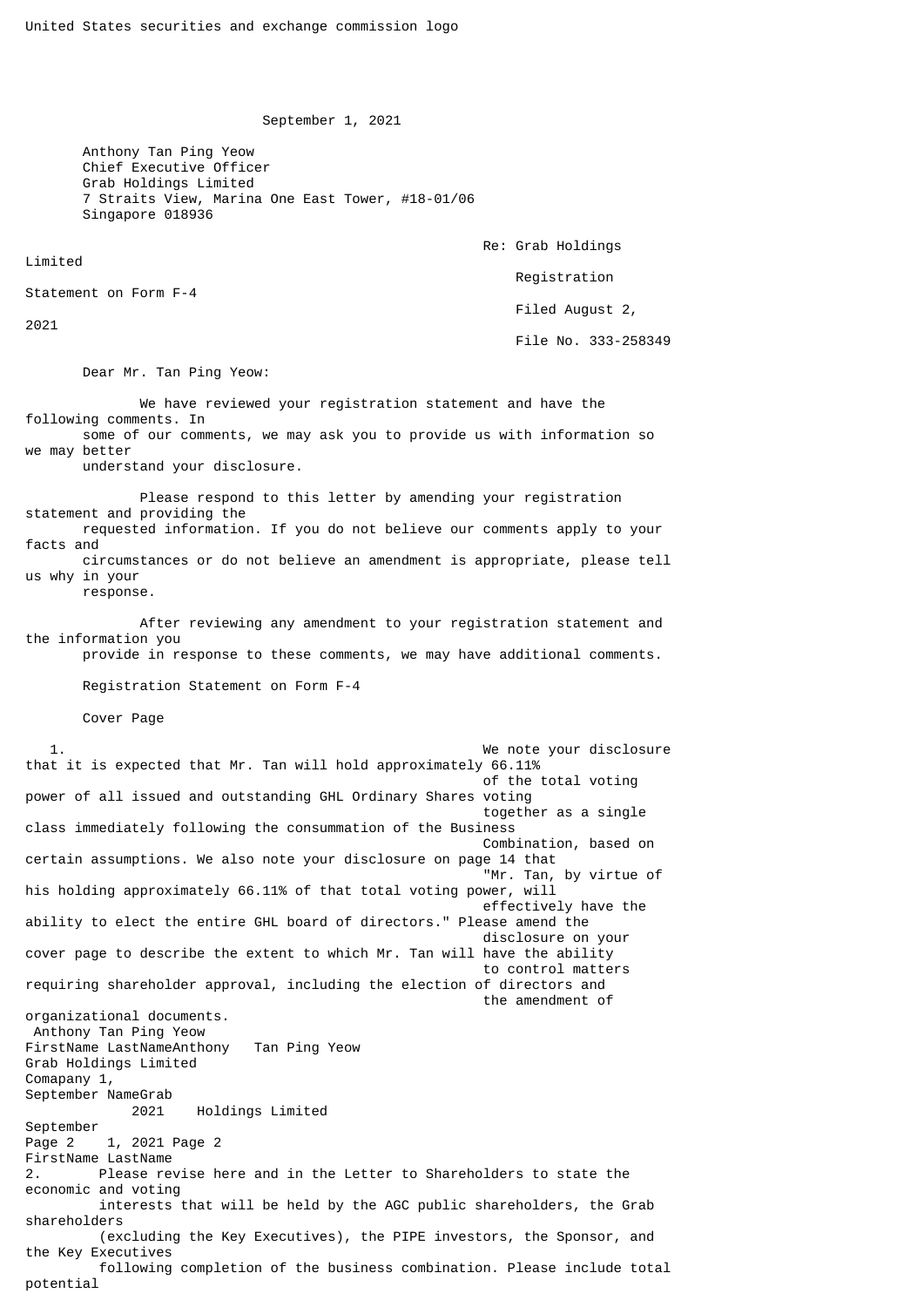September 1, 2021

 Anthony Tan Ping Yeow Chief Executive Officer Grab Holdings Limited 7 Straits View, Marina One East Tower, #18-01/06 Singapore 018936

Re: Grab Holdings

Registration

Filed August 2,

File No. 333-258349

Dear Mr. Tan Ping Yeow:

 We have reviewed your registration statement and have the following comments. In some of our comments, we may ask you to provide us with information so we may better

understand your disclosure.

 Please respond to this letter by amending your registration statement and providing the requested information. If you do not believe our comments apply to your facts and circumstances or do not believe an amendment is appropriate, please tell us why in your

response.

Statement on Form F-4

Limited

2021

 After reviewing any amendment to your registration statement and the information you provide in response to these comments, we may have additional comments.

Registration Statement on Form F-4

Cover Page

 1. We note your disclosure that it is expected that Mr. Tan will hold approximately 66.11% of the total voting power of all issued and outstanding GHL Ordinary Shares voting together as a single class immediately following the consummation of the Business Combination, based on certain assumptions. We also note your disclosure on page 14 that "Mr. Tan, by virtue of his holding approximately 66.11% of that total voting power, will effectively have the ability to elect the entire GHL board of directors." Please amend the disclosure on your cover page to describe the extent to which Mr. Tan will have the ability to control matters requiring shareholder approval, including the election of directors and the amendment of organizational documents. Anthony Tan Ping Yeow FirstName LastNameAnthony Tan Ping Yeow Grab Holdings Limited Comapany 1, September NameGrab 2021 Holdings Limited September Page 2 1, 2021 Page 2 FirstName LastName 2. Please revise here and in the Letter to Shareholders to state the economic and voting interests that will be held by the AGC public shareholders, the Grab shareholders (excluding the Key Executives), the PIPE investors, the Sponsor, and the Key Executives following completion of the business combination. Please include total potential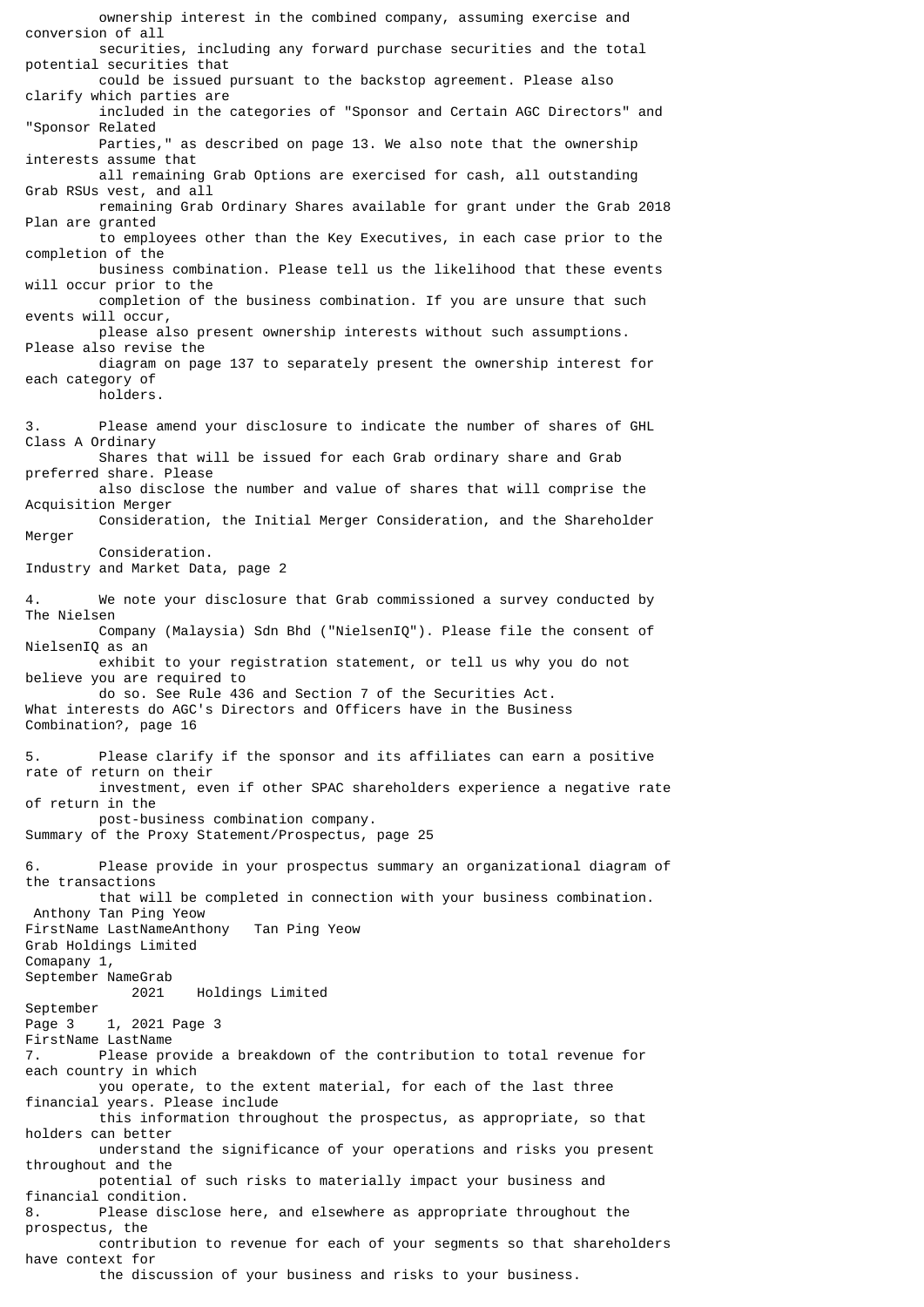ownership interest in the combined company, assuming exercise and conversion of all securities, including any forward purchase securities and the total potential securities that could be issued pursuant to the backstop agreement. Please also clarify which parties are included in the categories of "Sponsor and Certain AGC Directors" and "Sponsor Related Parties," as described on page 13. We also note that the ownership interests assume that all remaining Grab Options are exercised for cash, all outstanding Grab RSUs vest, and all remaining Grab Ordinary Shares available for grant under the Grab 2018 Plan are granted to employees other than the Key Executives, in each case prior to the completion of the business combination. Please tell us the likelihood that these events will occur prior to the completion of the business combination. If you are unsure that such events will occur, please also present ownership interests without such assumptions. Please also revise the diagram on page 137 to separately present the ownership interest for each category of holders. 3. Please amend your disclosure to indicate the number of shares of GHL Class A Ordinary Shares that will be issued for each Grab ordinary share and Grab preferred share. Please also disclose the number and value of shares that will comprise the Acquisition Merger Consideration, the Initial Merger Consideration, and the Shareholder Merger Consideration. Industry and Market Data, page 2 4. We note your disclosure that Grab commissioned a survey conducted by The Nielsen Company (Malaysia) Sdn Bhd ("NielsenIQ"). Please file the consent of NielsenIQ as an exhibit to your registration statement, or tell us why you do not believe you are required to do so. See Rule 436 and Section 7 of the Securities Act. What interests do AGC's Directors and Officers have in the Business Combination?, page 16 5. Please clarify if the sponsor and its affiliates can earn a positive rate of return on their investment, even if other SPAC shareholders experience a negative rate of return in the post-business combination company. Summary of the Proxy Statement/Prospectus, page 25 6. Please provide in your prospectus summary an organizational diagram of the transactions that will be completed in connection with your business combination. Anthony Tan Ping Yeow FirstName LastNameAnthony Tan Ping Yeow Grab Holdings Limited Comapany 1, September NameGrab 2021 Holdings Limited September Page 3 1, 2021 Page 3 FirstName LastName 7. Please provide a breakdown of the contribution to total revenue for each country in which you operate, to the extent material, for each of the last three financial years. Please include this information throughout the prospectus, as appropriate, so that holders can better understand the significance of your operations and risks you present throughout and the potential of such risks to materially impact your business and financial condition. 8. Please disclose here, and elsewhere as appropriate throughout the prospectus, the contribution to revenue for each of your segments so that shareholders have context for the discussion of your business and risks to your business.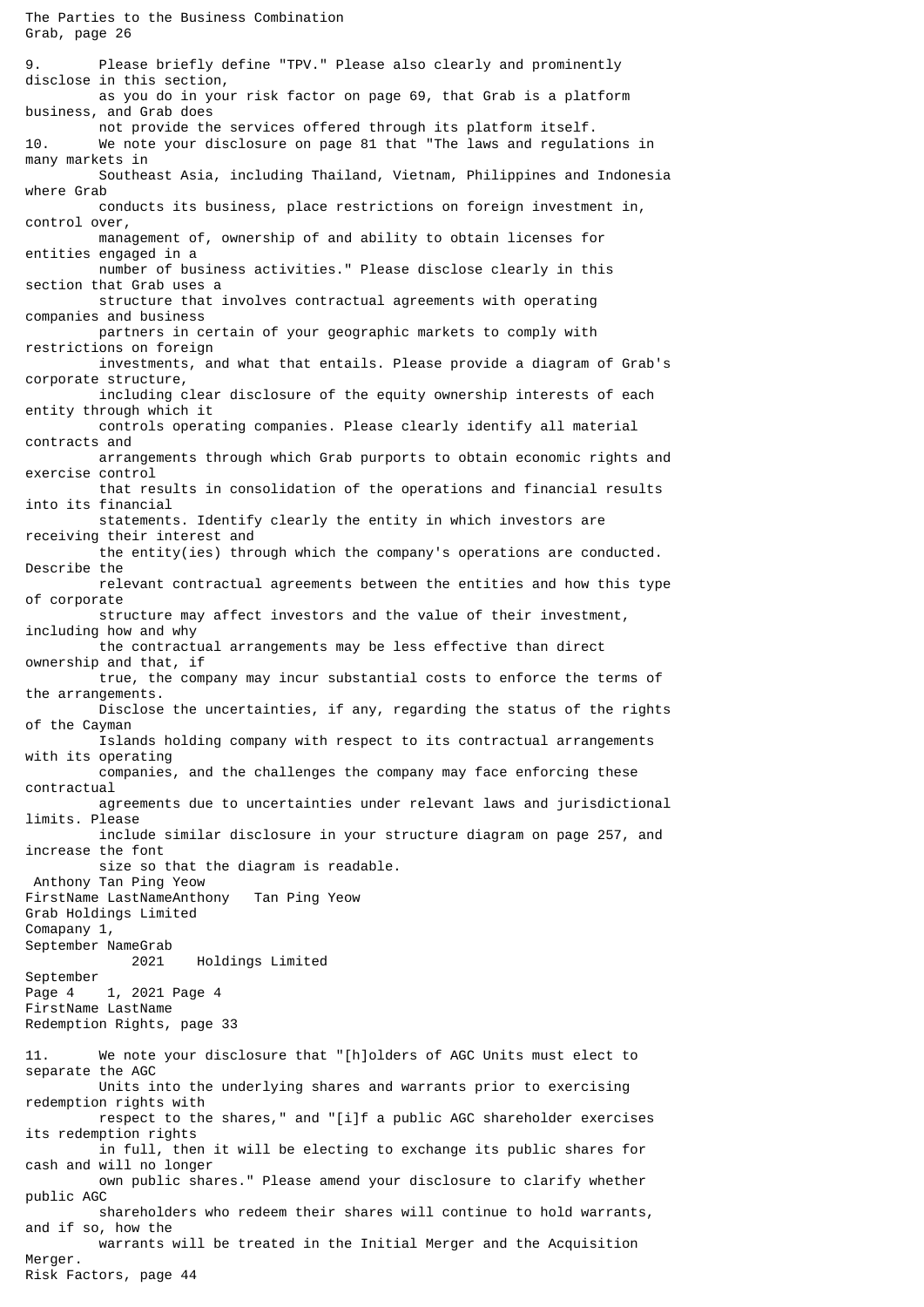The Parties to the Business Combination Grab, page 26 9. Please briefly define "TPV." Please also clearly and prominently disclose in this section, as you do in your risk factor on page 69, that Grab is a platform business, and Grab does not provide the services offered through its platform itself. 10. We note your disclosure on page 81 that "The laws and regulations in many markets in Southeast Asia, including Thailand, Vietnam, Philippines and Indonesia where Grab conducts its business, place restrictions on foreign investment in, control over, management of, ownership of and ability to obtain licenses for entities engaged in a number of business activities." Please disclose clearly in this section that Grab uses a structure that involves contractual agreements with operating companies and business partners in certain of your geographic markets to comply with restrictions on foreign investments, and what that entails. Please provide a diagram of Grab's corporate structure, including clear disclosure of the equity ownership interests of each entity through which it controls operating companies. Please clearly identify all material contracts and arrangements through which Grab purports to obtain economic rights and exercise control that results in consolidation of the operations and financial results into its financial statements. Identify clearly the entity in which investors are receiving their interest and the entity(ies) through which the company's operations are conducted. Describe the relevant contractual agreements between the entities and how this type of corporate structure may affect investors and the value of their investment, including how and why the contractual arrangements may be less effective than direct ownership and that, if true, the company may incur substantial costs to enforce the terms of the arrangements. Disclose the uncertainties, if any, regarding the status of the rights of the Cayman Islands holding company with respect to its contractual arrangements with its operating companies, and the challenges the company may face enforcing these contractual agreements due to uncertainties under relevant laws and jurisdictional limits. Please include similar disclosure in your structure diagram on page 257, and increase the font size so that the diagram is readable. Anthony Tan Ping Yeow FirstName LastNameAnthony Tan Ping Yeow Grab Holdings Limited Comapany 1, September NameGrab 2021 Holdings Limited September Page 4 1, 2021 Page 4 FirstName LastName Redemption Rights, page 33 11. We note your disclosure that "[h]olders of AGC Units must elect to separate the AGC Units into the underlying shares and warrants prior to exercising redemption rights with respect to the shares," and "[i]f a public AGC shareholder exercises its redemption rights in full, then it will be electing to exchange its public shares for cash and will no longer own public shares." Please amend your disclosure to clarify whether public AGC shareholders who redeem their shares will continue to hold warrants, and if so, how the warrants will be treated in the Initial Merger and the Acquisition Merger. Risk Factors, page 44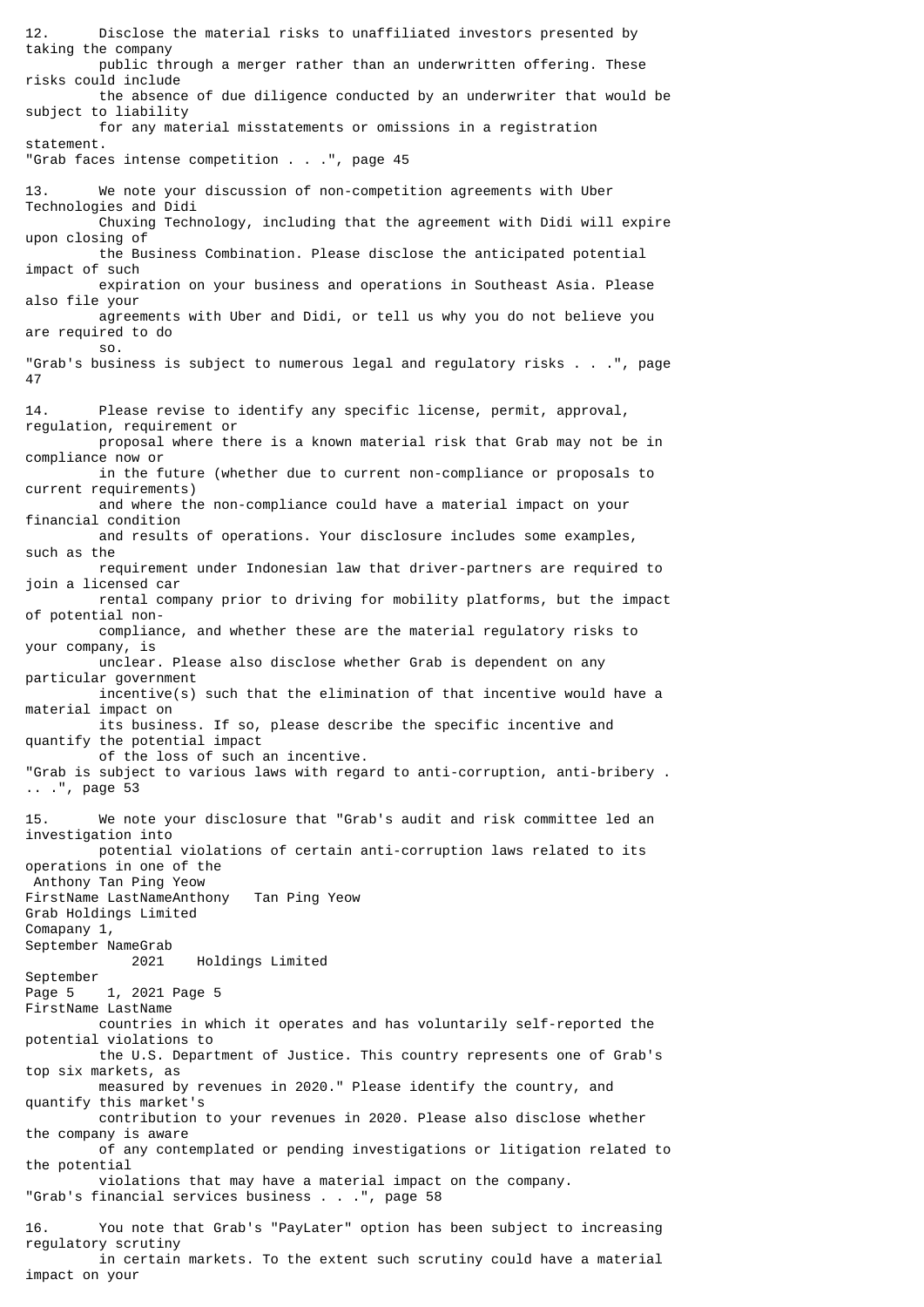12. Disclose the material risks to unaffiliated investors presented by taking the company public through a merger rather than an underwritten offering. These risks could include the absence of due diligence conducted by an underwriter that would be subject to liability for any material misstatements or omissions in a registration statement. "Grab faces intense competition . . .", page 45 13. We note your discussion of non-competition agreements with Uber Technologies and Didi Chuxing Technology, including that the agreement with Didi will expire upon closing of the Business Combination. Please disclose the anticipated potential impact of such expiration on your business and operations in Southeast Asia. Please also file your agreements with Uber and Didi, or tell us why you do not believe you are required to do so. "Grab's business is subject to numerous legal and regulatory risks . . .", page 47 14. Please revise to identify any specific license, permit, approval, regulation, requirement or proposal where there is a known material risk that Grab may not be in compliance now or in the future (whether due to current non-compliance or proposals to current requirements) and where the non-compliance could have a material impact on your financial condition and results of operations. Your disclosure includes some examples, such as the requirement under Indonesian law that driver-partners are required to join a licensed car rental company prior to driving for mobility platforms, but the impact of potential non compliance, and whether these are the material regulatory risks to your company, is unclear. Please also disclose whether Grab is dependent on any particular government incentive(s) such that the elimination of that incentive would have a material impact on its business. If so, please describe the specific incentive and quantify the potential impact of the loss of such an incentive. "Grab is subject to various laws with regard to anti-corruption, anti-bribery . .. .", page 53 15. We note your disclosure that "Grab's audit and risk committee led an investigation into potential violations of certain anti-corruption laws related to its operations in one of the Anthony Tan Ping Yeow FirstName LastNameAnthony Tan Ping Yeow Grab Holdings Limited Comapany 1, September NameGrab 2021 Holdings Limited September Page 5 1, 2021 Page 5 FirstName LastName countries in which it operates and has voluntarily self-reported the potential violations to the U.S. Department of Justice. This country represents one of Grab's top six markets, as measured by revenues in 2020." Please identify the country, and quantify this market's contribution to your revenues in 2020. Please also disclose whether the company is aware of any contemplated or pending investigations or litigation related to the potential violations that may have a material impact on the company. "Grab's financial services business . . .", page 58 16. You note that Grab's "PayLater" option has been subject to increasing regulatory scrutiny in certain markets. To the extent such scrutiny could have a material impact on your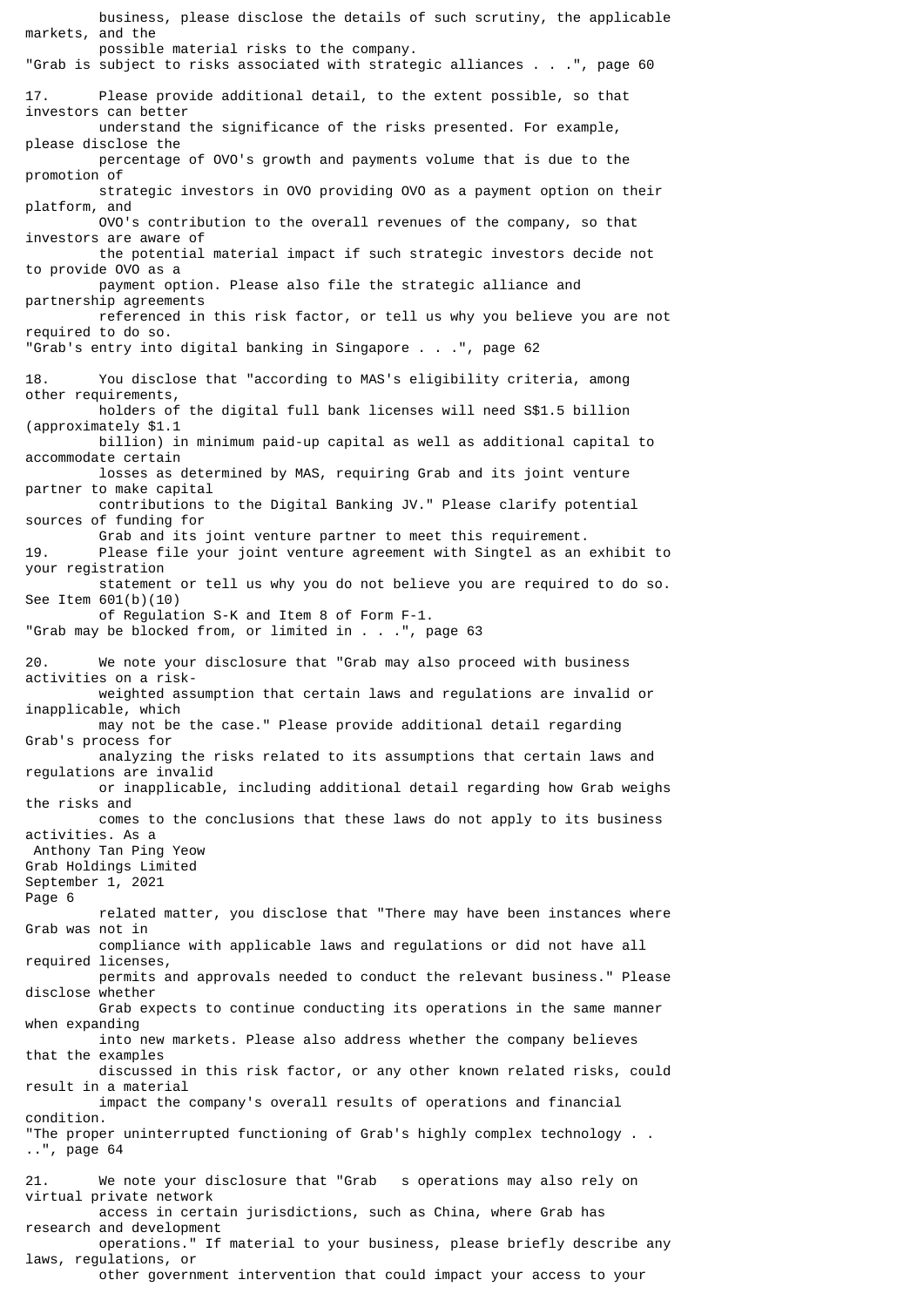business, please disclose the details of such scrutiny, the applicable markets, and the possible material risks to the company. "Grab is subject to risks associated with strategic alliances . . .", page 60 17. Please provide additional detail, to the extent possible, so that investors can better understand the significance of the risks presented. For example, please disclose the percentage of OVO's growth and payments volume that is due to the promotion of strategic investors in OVO providing OVO as a payment option on their platform, and OVO's contribution to the overall revenues of the company, so that investors are aware of the potential material impact if such strategic investors decide not to provide OVO as a payment option. Please also file the strategic alliance and partnership agreements referenced in this risk factor, or tell us why you believe you are not required to do so. "Grab's entry into digital banking in Singapore . . .", page 62 18. You disclose that "according to MAS's eligibility criteria, among other requirements, holders of the digital full bank licenses will need S\$1.5 billion (approximately \$1.1 billion) in minimum paid-up capital as well as additional capital to accommodate certain losses as determined by MAS, requiring Grab and its joint venture partner to make capital contributions to the Digital Banking JV." Please clarify potential sources of funding for Grab and its joint venture partner to meet this requirement.<br>19. Please file your joint venture agreement with Singtel as an Please file your joint venture agreement with Singtel as an exhibit to your registration statement or tell us why you do not believe you are required to do so. See Item 601(b)(10) of Regulation S-K and Item 8 of Form F-1. "Grab may be blocked from, or limited in . . .", page 63 20. We note your disclosure that "Grab may also proceed with business activities on a risk weighted assumption that certain laws and regulations are invalid or inapplicable, which may not be the case." Please provide additional detail regarding Grab's process for analyzing the risks related to its assumptions that certain laws and regulations are invalid or inapplicable, including additional detail regarding how Grab weighs the risks and comes to the conclusions that these laws do not apply to its business activities. As a Anthony Tan Ping Yeow Grab Holdings Limited September 1, 2021 Page 6 related matter, you disclose that "There may have been instances where Grab was not in compliance with applicable laws and regulations or did not have all required licenses, permits and approvals needed to conduct the relevant business." Please disclose whether Grab expects to continue conducting its operations in the same manner when expanding into new markets. Please also address whether the company believes that the examples discussed in this risk factor, or any other known related risks, could result in a material impact the company's overall results of operations and financial condition. "The proper uninterrupted functioning of Grab's highly complex technology . . ..", page 64 21. We note your disclosure that "Grab s operations may also rely on virtual private network access in certain jurisdictions, such as China, where Grab has research and development operations." If material to your business, please briefly describe any laws, regulations, or other government intervention that could impact your access to your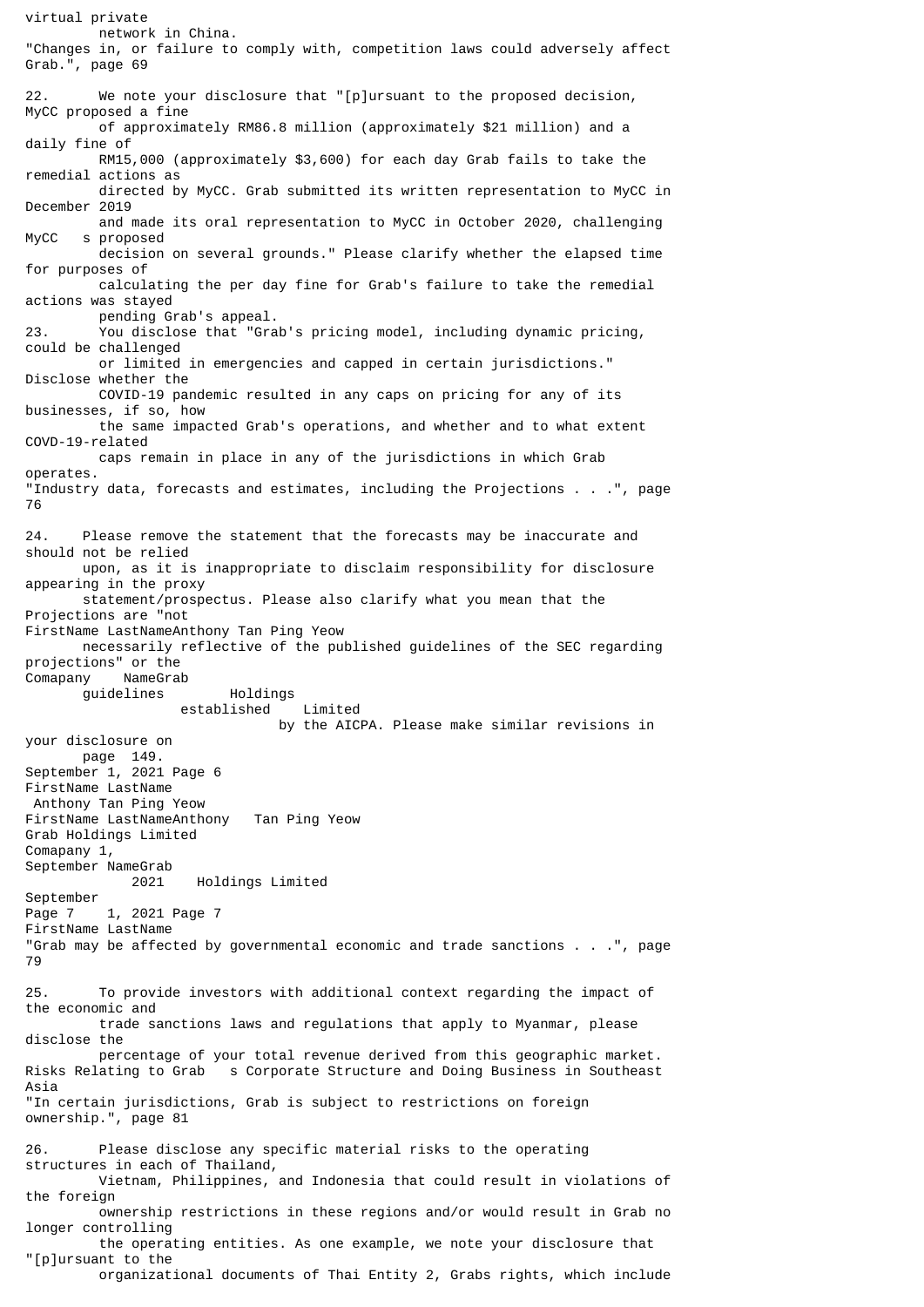virtual private network in China. "Changes in, or failure to comply with, competition laws could adversely affect Grab.", page 69 22. We note your disclosure that "[p]ursuant to the proposed decision, MyCC proposed a fine of approximately RM86.8 million (approximately \$21 million) and a daily fine of RM15,000 (approximately \$3,600) for each day Grab fails to take the remedial actions as directed by MyCC. Grab submitted its written representation to MyCC in December 2019 and made its oral representation to MyCC in October 2020, challenging MyCC s proposed decision on several grounds." Please clarify whether the elapsed time for purposes of calculating the per day fine for Grab's failure to take the remedial actions was stayed pending Grab's appeal.<br>23. You disclose that "Gra You disclose that "Grab's pricing model, including dynamic pricing, could be challenged or limited in emergencies and capped in certain jurisdictions." Disclose whether the COVID-19 pandemic resulted in any caps on pricing for any of its businesses, if so, how the same impacted Grab's operations, and whether and to what extent COVD-19-related caps remain in place in any of the jurisdictions in which Grab operates. "Industry data, forecasts and estimates, including the Projections . . .", page 76 24. Please remove the statement that the forecasts may be inaccurate and should not be relied upon, as it is inappropriate to disclaim responsibility for disclosure appearing in the proxy statement/prospectus. Please also clarify what you mean that the Projections are "not FirstName LastNameAnthony Tan Ping Yeow necessarily reflective of the published guidelines of the SEC regarding projections" or the Comapany NameGrab guidelines Holdings established Limited by the AICPA. Please make similar revisions in your disclosure on page 149. September 1, 2021 Page 6 FirstName LastName Anthony Tan Ping Yeow FirstName LastNameAnthony Tan Ping Yeow Grab Holdings Limited Comapany 1, September NameGrab 2021 Holdings Limited September Page 7 1, 2021 Page 7 FirstName LastName "Grab may be affected by governmental economic and trade sanctions . . .", page 79 25. To provide investors with additional context regarding the impact of the economic and trade sanctions laws and regulations that apply to Myanmar, please disclose the percentage of your total revenue derived from this geographic market. Risks Relating to Grab s Corporate Structure and Doing Business in Southeast Asia "In certain jurisdictions, Grab is subject to restrictions on foreign ownership.", page 81 26. Please disclose any specific material risks to the operating structures in each of Thailand, Vietnam, Philippines, and Indonesia that could result in violations of the foreign ownership restrictions in these regions and/or would result in Grab no longer controlling the operating entities. As one example, we note your disclosure that "[p]ursuant to the organizational documents of Thai Entity 2, Grabs rights, which include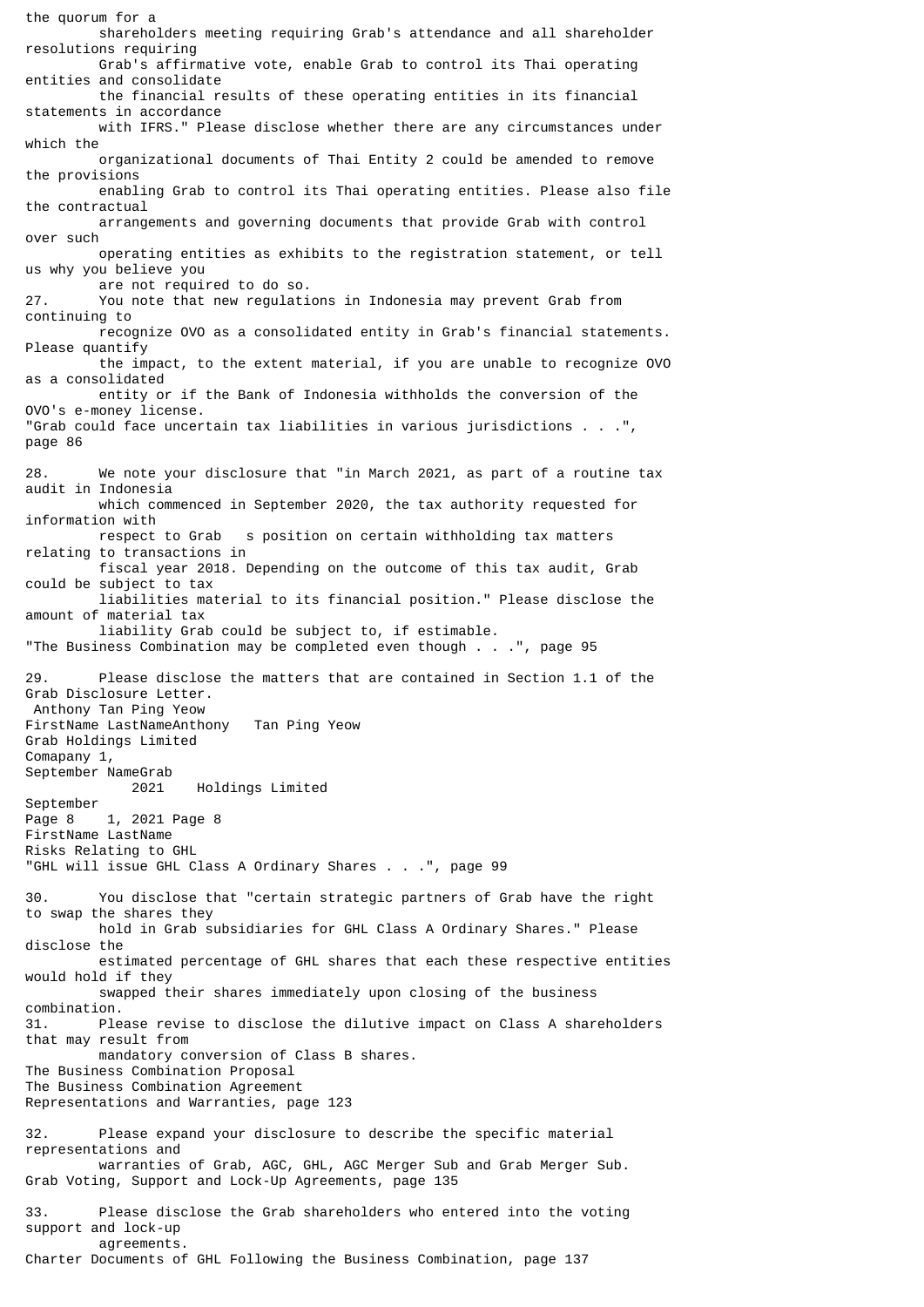the quorum for a shareholders meeting requiring Grab's attendance and all shareholder resolutions requiring Grab's affirmative vote, enable Grab to control its Thai operating entities and consolidate the financial results of these operating entities in its financial statements in accordance with IFRS." Please disclose whether there are any circumstances under which the organizational documents of Thai Entity 2 could be amended to remove the provisions enabling Grab to control its Thai operating entities. Please also file the contractual arrangements and governing documents that provide Grab with control over such operating entities as exhibits to the registration statement, or tell us why you believe you are not required to do so.<br>27. You note that new requlati You note that new regulations in Indonesia may prevent Grab from continuing to recognize OVO as a consolidated entity in Grab's financial statements. Please quantify the impact, to the extent material, if you are unable to recognize OVO as a consolidated entity or if the Bank of Indonesia withholds the conversion of the OVO's e-money license. "Grab could face uncertain tax liabilities in various jurisdictions . . .", page 86 28. We note your disclosure that "in March 2021, as part of a routine tax audit in Indonesia which commenced in September 2020, the tax authority requested for information with respect to Grab s position on certain withholding tax matters relating to transactions in fiscal year 2018. Depending on the outcome of this tax audit, Grab could be subject to tax liabilities material to its financial position." Please disclose the amount of material tax liability Grab could be subject to, if estimable. "The Business Combination may be completed even though . . .", page 95 29. Please disclose the matters that are contained in Section 1.1 of the Grab Disclosure Letter. Anthony Tan Ping Yeow FirstName LastNameAnthony Tan Ping Yeow Grab Holdings Limited Comapany 1, September NameGrab 2021 Holdings Limited September Page 8 1, 2021 Page 8 FirstName LastName Risks Relating to GHL "GHL will issue GHL Class A Ordinary Shares . . .", page 99 30. You disclose that "certain strategic partners of Grab have the right to swap the shares they hold in Grab subsidiaries for GHL Class A Ordinary Shares." Please disclose the estimated percentage of GHL shares that each these respective entities would hold if they swapped their shares immediately upon closing of the business combination. 31. Please revise to disclose the dilutive impact on Class A shareholders that may result from mandatory conversion of Class B shares. The Business Combination Proposal The Business Combination Agreement Representations and Warranties, page 123 32. Please expand your disclosure to describe the specific material representations and warranties of Grab, AGC, GHL, AGC Merger Sub and Grab Merger Sub. Grab Voting, Support and Lock-Up Agreements, page 135 33. Please disclose the Grab shareholders who entered into the voting support and lock-up agreements.

Charter Documents of GHL Following the Business Combination, page 137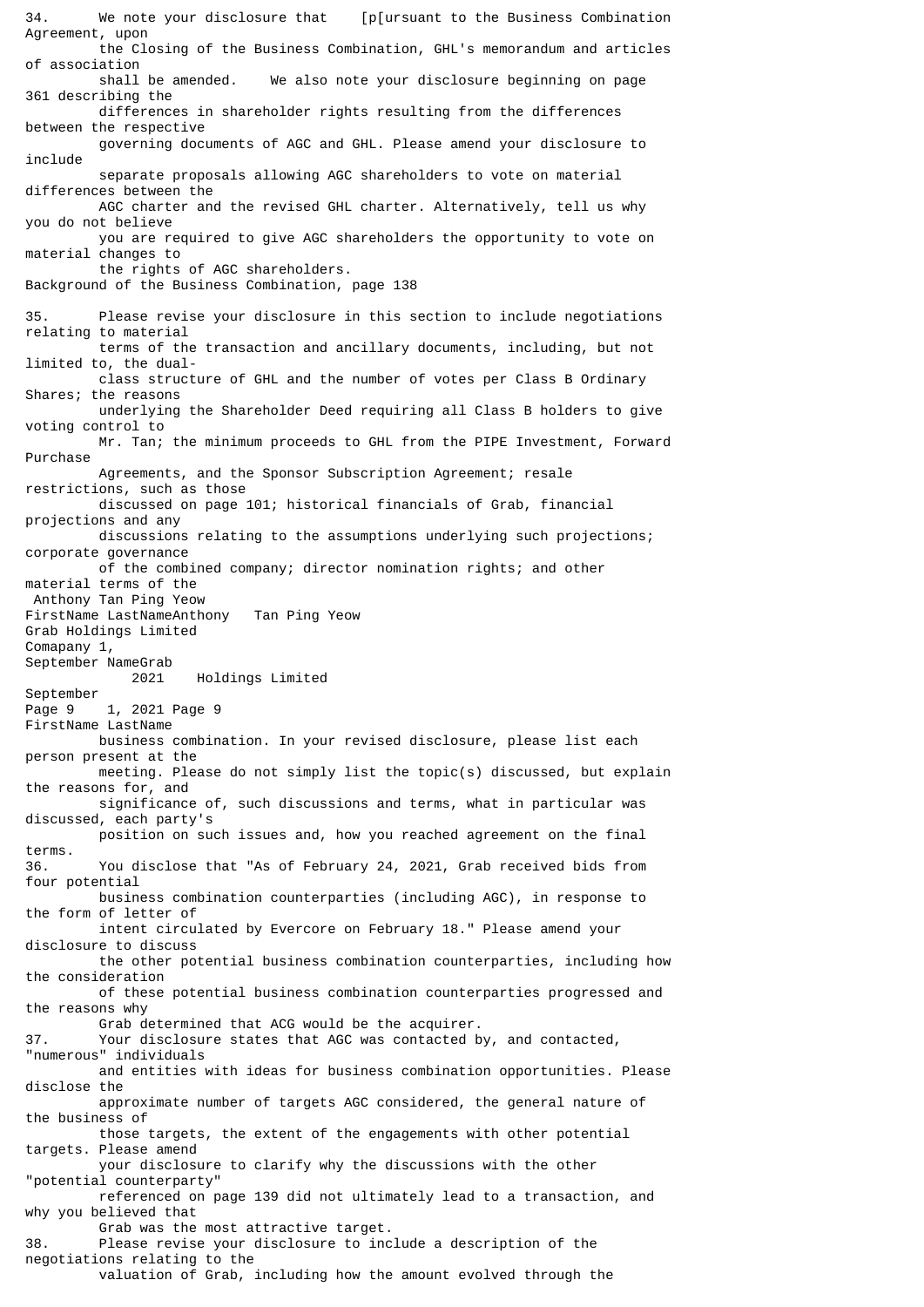34. We note your disclosure that [p[ursuant to the Business Combination Agreement, upon the Closing of the Business Combination, GHL's memorandum and articles of association shall be amended. We also note your disclosure beginning on page 361 describing the differences in shareholder rights resulting from the differences between the respective governing documents of AGC and GHL. Please amend your disclosure to include separate proposals allowing AGC shareholders to vote on material differences between the AGC charter and the revised GHL charter. Alternatively, tell us why you do not believe you are required to give AGC shareholders the opportunity to vote on material changes to the rights of AGC shareholders. Background of the Business Combination, page 138 35. Please revise your disclosure in this section to include negotiations relating to material terms of the transaction and ancillary documents, including, but not limited to, the dual class structure of GHL and the number of votes per Class B Ordinary Shares; the reasons underlying the Shareholder Deed requiring all Class B holders to give voting control to Mr. Tan; the minimum proceeds to GHL from the PIPE Investment, Forward Purchase Agreements, and the Sponsor Subscription Agreement; resale restrictions, such as those discussed on page 101; historical financials of Grab, financial projections and any discussions relating to the assumptions underlying such projections; corporate governance of the combined company; director nomination rights; and other material terms of the Anthony Tan Ping Yeow FirstName LastNameAnthony Tan Ping Yeow Grab Holdings Limited Comapany 1, September NameGrab 2021 Holdings Limited September<br>Page 9 1, 2021 Page 9 FirstName LastName business combination. In your revised disclosure, please list each person present at the meeting. Please do not simply list the topic(s) discussed, but explain the reasons for, and significance of, such discussions and terms, what in particular was discussed, each party's position on such issues and, how you reached agreement on the final terms. 36. You disclose that "As of February 24, 2021, Grab received bids from four potential business combination counterparties (including AGC), in response to the form of letter of intent circulated by Evercore on February 18." Please amend your disclosure to discuss the other potential business combination counterparties, including how the consideration of these potential business combination counterparties progressed and the reasons why Grab determined that ACG would be the acquirer. 37. Your disclosure states that AGC was contacted by, and contacted, "numerous" individuals and entities with ideas for business combination opportunities. Please disclose the approximate number of targets AGC considered, the general nature of the business of those targets, the extent of the engagements with other potential targets. Please amend your disclosure to clarify why the discussions with the other "potential counterparty" referenced on page 139 did not ultimately lead to a transaction, and why you believed that Grab was the most attractive target. 38. Please revise your disclosure to include a description of the negotiations relating to the valuation of Grab, including how the amount evolved through the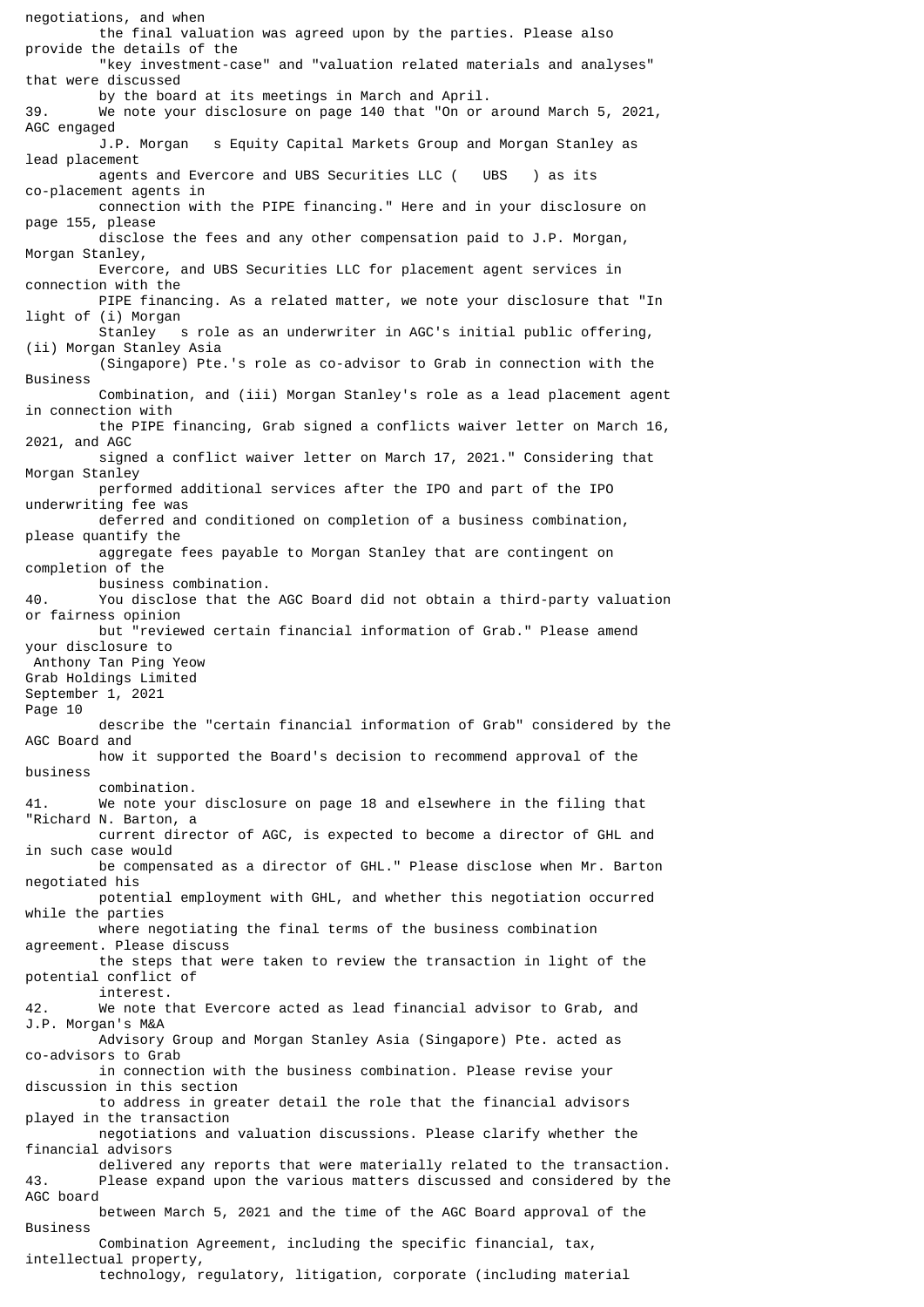negotiations, and when the final valuation was agreed upon by the parties. Please also provide the details of the "key investment-case" and "valuation related materials and analyses" that were discussed by the board at its meetings in March and April. 39. We note your disclosure on page 140 that "On or around March 5, 2021, AGC engaged J.P. Morgan s Equity Capital Markets Group and Morgan Stanley as lead placement agents and Evercore and UBS Securities LLC ( UBS ) as its co-placement agents in connection with the PIPE financing." Here and in your disclosure on page 155, please disclose the fees and any other compensation paid to J.P. Morgan, Morgan Stanley, Evercore, and UBS Securities LLC for placement agent services in connection with the PIPE financing. As a related matter, we note your disclosure that "In light of (i) Morgan s role as an underwriter in AGC's initial public offering, (ii) Morgan Stanley Asia (Singapore) Pte.'s role as co-advisor to Grab in connection with the Business Combination, and (iii) Morgan Stanley's role as a lead placement agent in connection with the PIPE financing, Grab signed a conflicts waiver letter on March 16, 2021, and AGC signed a conflict waiver letter on March 17, 2021." Considering that Morgan Stanley performed additional services after the IPO and part of the IPO underwriting fee was deferred and conditioned on completion of a business combination, please quantify the aggregate fees payable to Morgan Stanley that are contingent on completion of the business combination. 40. You disclose that the AGC Board did not obtain a third-party valuation or fairness opinion but "reviewed certain financial information of Grab." Please amend your disclosure to Anthony Tan Ping Yeow Grab Holdings Limited September 1, 2021 Page 10 describe the "certain financial information of Grab" considered by the AGC Board and how it supported the Board's decision to recommend approval of the business combination. 41. We note your disclosure on page 18 and elsewhere in the filing that "Richard N. Barton, a current director of AGC, is expected to become a director of GHL and in such case would be compensated as a director of GHL." Please disclose when Mr. Barton negotiated his potential employment with GHL, and whether this negotiation occurred while the parties where negotiating the final terms of the business combination agreement. Please discuss the steps that were taken to review the transaction in light of the potential conflict of interest. 42. We note that Evercore acted as lead financial advisor to Grab, and J.P. Morgan's M&A Advisory Group and Morgan Stanley Asia (Singapore) Pte. acted as co-advisors to Grab in connection with the business combination. Please revise your discussion in this section to address in greater detail the role that the financial advisors played in the transaction negotiations and valuation discussions. Please clarify whether the financial advisors delivered any reports that were materially related to the transaction.<br>43. Please expand upon the various matters discussed and considered by the Please expand upon the various matters discussed and considered by the AGC board between March 5, 2021 and the time of the AGC Board approval of the Business Combination Agreement, including the specific financial, tax, intellectual property, technology, regulatory, litigation, corporate (including material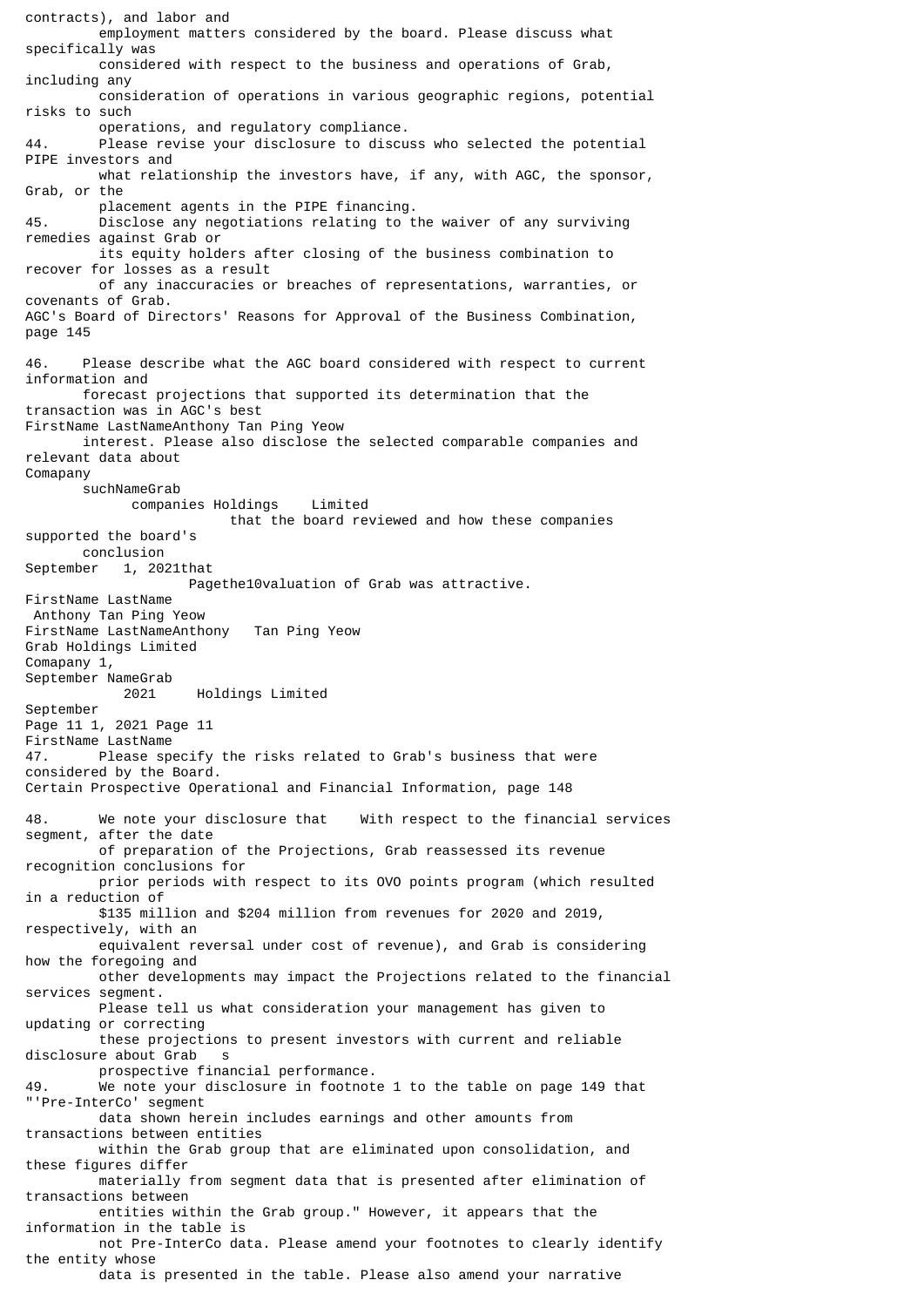contracts), and labor and employment matters considered by the board. Please discuss what specifically was considered with respect to the business and operations of Grab, including any consideration of operations in various geographic regions, potential risks to such operations, and regulatory compliance. 44. Please revise your disclosure to discuss who selected the potential PIPE investors and what relationship the investors have, if any, with AGC, the sponsor, Grab, or the placement agents in the PIPE financing. 45. Disclose any negotiations relating to the waiver of any surviving remedies against Grab or its equity holders after closing of the business combination to recover for losses as a result of any inaccuracies or breaches of representations, warranties, or covenants of Grab. AGC's Board of Directors' Reasons for Approval of the Business Combination, page 145 46. Please describe what the AGC board considered with respect to current information and forecast projections that supported its determination that the transaction was in AGC's best FirstName LastNameAnthony Tan Ping Yeow interest. Please also disclose the selected comparable companies and relevant data about Comapany suchNameGrab companies Holdings Limited that the board reviewed and how these companies supported the board's conclusion September 1, 2021that Pagethe10valuation of Grab was attractive. FirstName LastName Anthony Tan Ping Yeow FirstName LastNameAnthony Tan Ping Yeow Grab Holdings Limited Comapany 1, September NameGrab 2021 Holdings Limited September Page 11 1, 2021 Page 11 FirstName LastName 47. Please specify the risks related to Grab's business that were considered by the Board. Certain Prospective Operational and Financial Information, page 148 48. We note your disclosure that With respect to the financial services segment, after the date of preparation of the Projections, Grab reassessed its revenue recognition conclusions for prior periods with respect to its OVO points program (which resulted in a reduction of \$135 million and \$204 million from revenues for 2020 and 2019, respectively, with an equivalent reversal under cost of revenue), and Grab is considering how the foregoing and other developments may impact the Projections related to the financial services segment. Please tell us what consideration your management has given to updating or correcting these projections to present investors with current and reliable disclosure about Grab s prospective financial performance. 49. We note your disclosure in footnote 1 to the table on page 149 that "'Pre-InterCo' segment data shown herein includes earnings and other amounts from transactions between entities within the Grab group that are eliminated upon consolidation, and these figures differ materially from segment data that is presented after elimination of transactions between entities within the Grab group." However, it appears that the information in the table is not Pre-InterCo data. Please amend your footnotes to clearly identify the entity whose data is presented in the table. Please also amend your narrative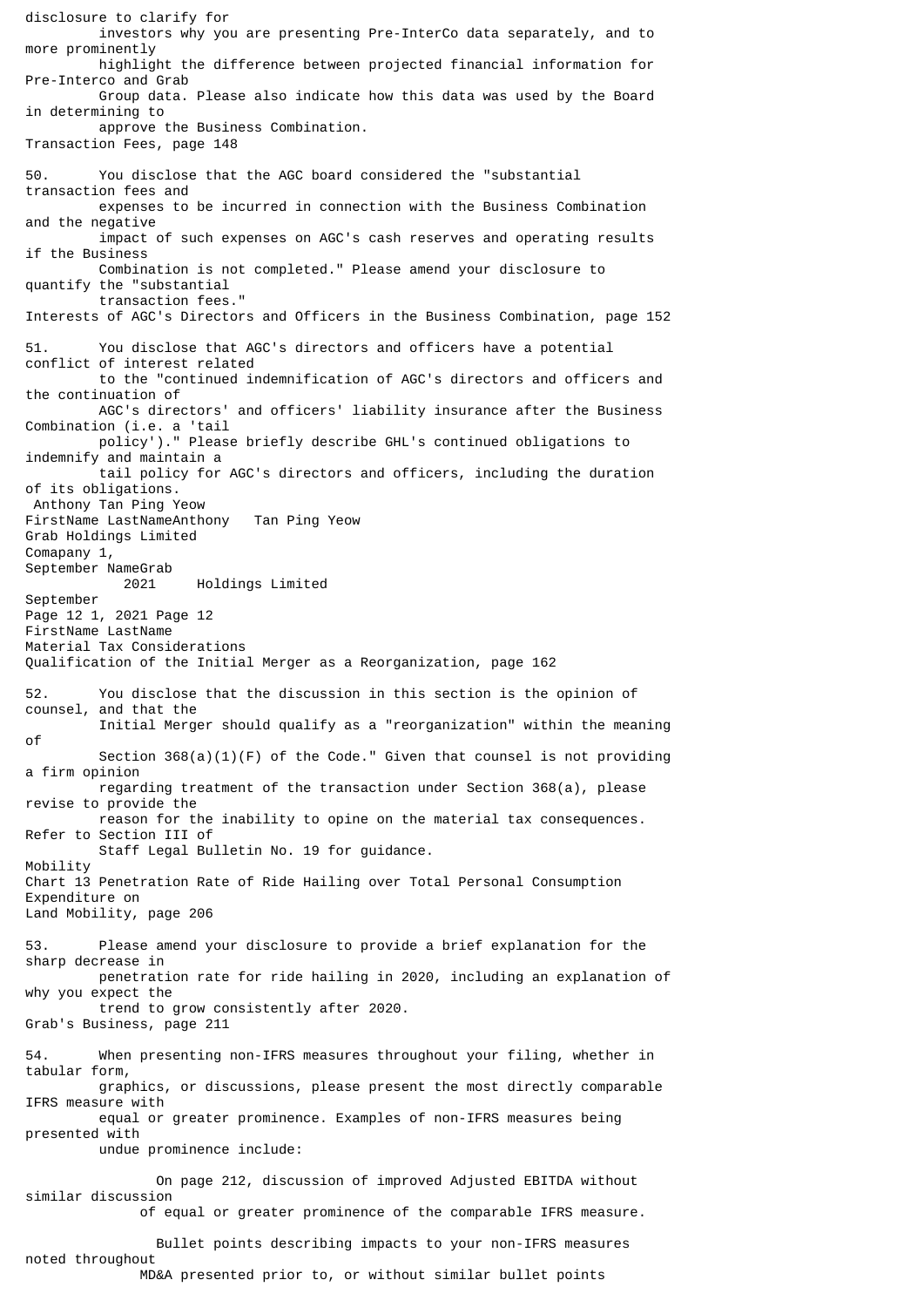disclosure to clarify for investors why you are presenting Pre-InterCo data separately, and to more prominently highlight the difference between projected financial information for Pre-Interco and Grab Group data. Please also indicate how this data was used by the Board in determining to approve the Business Combination. Transaction Fees, page 148 50. You disclose that the AGC board considered the "substantial transaction fees and expenses to be incurred in connection with the Business Combination and the negative impact of such expenses on AGC's cash reserves and operating results if the Business Combination is not completed." Please amend your disclosure to quantify the "substantial transaction fees." Interests of AGC's Directors and Officers in the Business Combination, page 152 51. You disclose that AGC's directors and officers have a potential conflict of interest related to the "continued indemnification of AGC's directors and officers and the continuation of AGC's directors' and officers' liability insurance after the Business Combination (i.e. a 'tail policy')." Please briefly describe GHL's continued obligations to indemnify and maintain a tail policy for AGC's directors and officers, including the duration of its obligations. Anthony Tan Ping Yeow FirstName LastNameAnthony Tan Ping Yeow Grab Holdings Limited Comapany 1, September NameGrab Holdings Limited September Page 12 1, 2021 Page 12 FirstName LastName Material Tax Considerations Qualification of the Initial Merger as a Reorganization, page 162 52. You disclose that the discussion in this section is the opinion of counsel, and that the Initial Merger should qualify as a "reorganization" within the meaning of Section  $368(a)(1)(F)$  of the Code." Given that counsel is not providing a firm opinion regarding treatment of the transaction under Section 368(a), please revise to provide the reason for the inability to opine on the material tax consequences. Refer to Section III of Staff Legal Bulletin No. 19 for guidance. Mobility Chart 13 Penetration Rate of Ride Hailing over Total Personal Consumption Expenditure on Land Mobility, page 206 53. Please amend your disclosure to provide a brief explanation for the sharp decrease in penetration rate for ride hailing in 2020, including an explanation of why you expect the trend to grow consistently after 2020. Grab's Business, page 211 54. When presenting non-IFRS measures throughout your filing, whether in tabular form, graphics, or discussions, please present the most directly comparable IFRS measure with equal or greater prominence. Examples of non-IFRS measures being presented with undue prominence include: On page 212, discussion of improved Adjusted EBITDA without similar discussion of equal or greater prominence of the comparable IFRS measure. Bullet points describing impacts to your non-IFRS measures noted throughout

MD&A presented prior to, or without similar bullet points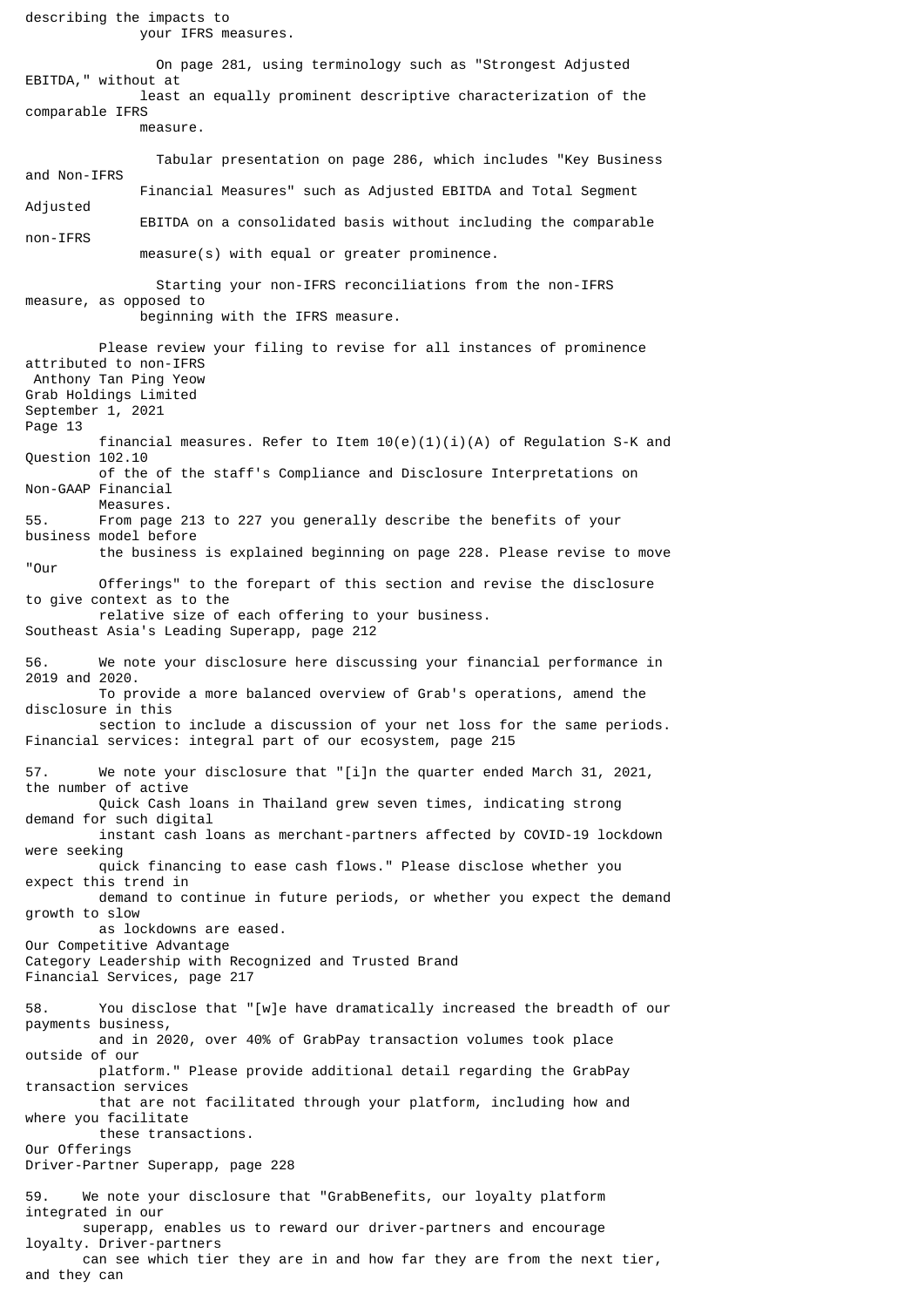describing the impacts to your IFRS measures. On page 281, using terminology such as "Strongest Adjusted EBITDA," without at least an equally prominent descriptive characterization of the comparable IFRS measure. Tabular presentation on page 286, which includes "Key Business and Non-IFRS Financial Measures" such as Adjusted EBITDA and Total Segment Adjusted EBITDA on a consolidated basis without including the comparable non-IFRS measure(s) with equal or greater prominence. Starting your non-IFRS reconciliations from the non-IFRS measure, as opposed to beginning with the IFRS measure. Please review your filing to revise for all instances of prominence attributed to non-IFRS Anthony Tan Ping Yeow Grab Holdings Limited September 1, 2021 Page 13 financial measures. Refer to Item  $10(e)(1)(i)(A)$  of Regulation S-K and Question 102.10 of the of the staff's Compliance and Disclosure Interpretations on Non-GAAP Financial Measures.<br>55 From page From page 213 to 227 you generally describe the benefits of your business model before the business is explained beginning on page 228. Please revise to move "Our Offerings" to the forepart of this section and revise the disclosure to give context as to the relative size of each offering to your business. Southeast Asia's Leading Superapp, page 212 56. We note your disclosure here discussing your financial performance in 2019 and 2020. To provide a more balanced overview of Grab's operations, amend the disclosure in this section to include a discussion of your net loss for the same periods. Financial services: integral part of our ecosystem, page 215 57. We note your disclosure that "[i]n the quarter ended March 31, 2021, the number of active Quick Cash loans in Thailand grew seven times, indicating strong demand for such digital instant cash loans as merchant-partners affected by COVID-19 lockdown were seeking quick financing to ease cash flows." Please disclose whether you expect this trend in demand to continue in future periods, or whether you expect the demand growth to slow as lockdowns are eased. Our Competitive Advantage Category Leadership with Recognized and Trusted Brand Financial Services, page 217 58. You disclose that "[w]e have dramatically increased the breadth of our payments business, and in 2020, over 40% of GrabPay transaction volumes took place outside of our platform." Please provide additional detail regarding the GrabPay transaction services that are not facilitated through your platform, including how and where you facilitate these transactions. Our Offerings Driver-Partner Superapp, page 228 59. We note your disclosure that "GrabBenefits, our loyalty platform integrated in our superapp, enables us to reward our driver-partners and encourage loyalty. Driver-partners can see which tier they are in and how far they are from the next tier, and they can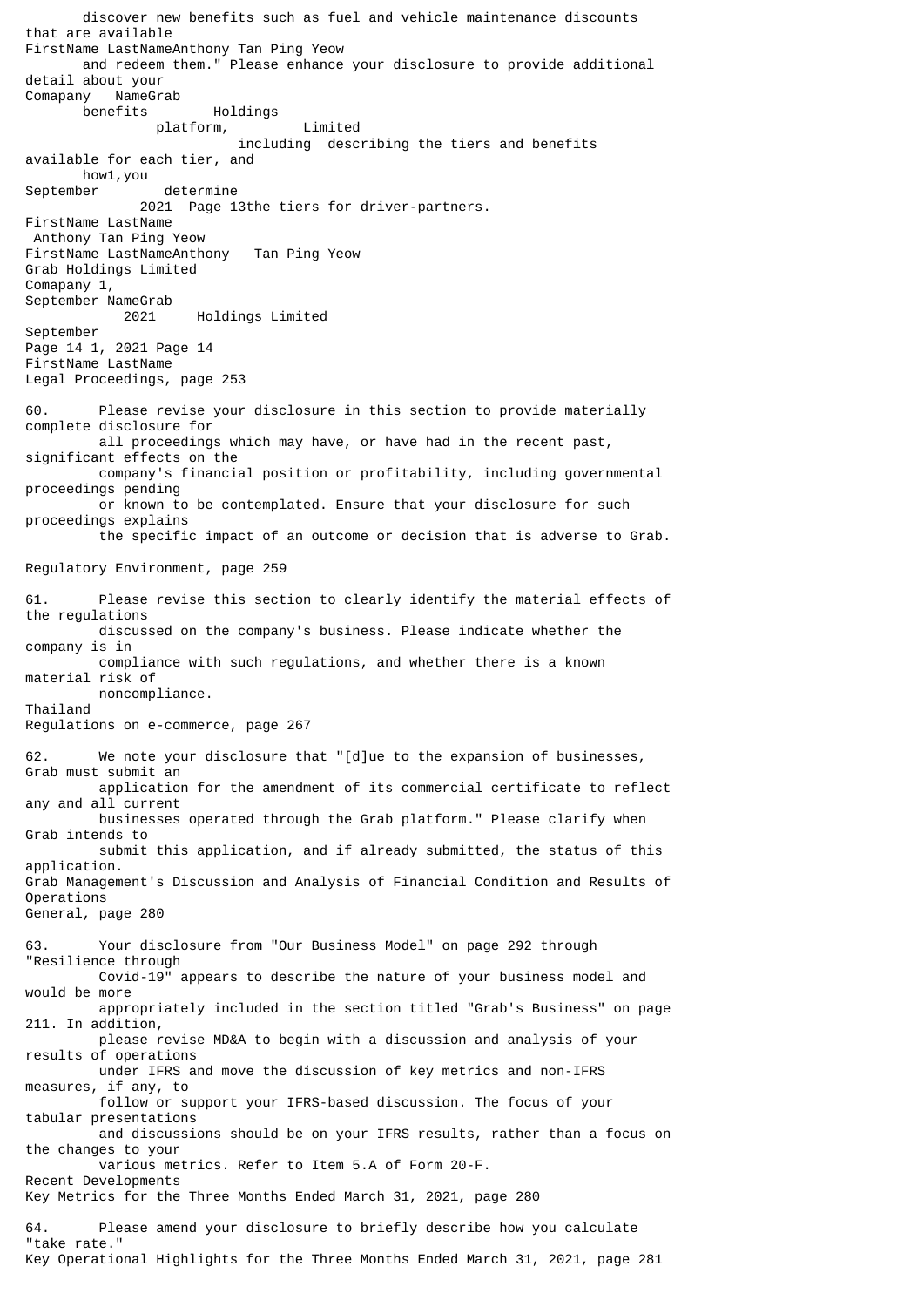discover new benefits such as fuel and vehicle maintenance discounts that are available FirstName LastNameAnthony Tan Ping Yeow and redeem them." Please enhance your disclosure to provide additional detail about your<br>Comapany NameGr NameGrab benefits Holdings platform, Limited including describing the tiers and benefits available for each tier, and how1,you September determine 2021 Page 13the tiers for driver-partners. FirstName LastName Anthony Tan Ping Yeow FirstName LastNameAnthony Tan Ping Yeow Grab Holdings Limited Comapany 1, September NameGrab 2021 Holdings Limited September Page 14 1, 2021 Page 14 FirstName LastName Legal Proceedings, page 253 60. Please revise your disclosure in this section to provide materially complete disclosure for all proceedings which may have, or have had in the recent past, significant effects on the company's financial position or profitability, including governmental proceedings pending or known to be contemplated. Ensure that your disclosure for such proceedings explains the specific impact of an outcome or decision that is adverse to Grab. Regulatory Environment, page 259 61. Please revise this section to clearly identify the material effects of the regulations discussed on the company's business. Please indicate whether the company is in compliance with such regulations, and whether there is a known material risk of noncompliance. Thailand Regulations on e-commerce, page 267 62. We note your disclosure that "[d]ue to the expansion of businesses, Grab must submit an application for the amendment of its commercial certificate to reflect any and all current businesses operated through the Grab platform." Please clarify when Grab intends to submit this application, and if already submitted, the status of this application. Grab Management's Discussion and Analysis of Financial Condition and Results of Operations General, page 280 63. Your disclosure from "Our Business Model" on page 292 through "Resilience through Covid-19" appears to describe the nature of your business model and would be more appropriately included in the section titled "Grab's Business" on page 211. In addition, please revise MD&A to begin with a discussion and analysis of your results of operations under IFRS and move the discussion of key metrics and non-IFRS measures, if any, to follow or support your IFRS-based discussion. The focus of your tabular presentations and discussions should be on your IFRS results, rather than a focus on the changes to your various metrics. Refer to Item 5.A of Form 20-F. Recent Developments Key Metrics for the Three Months Ended March 31, 2021, page 280 64. Please amend your disclosure to briefly describe how you calculate "take rate."

Key Operational Highlights for the Three Months Ended March 31, 2021, page 281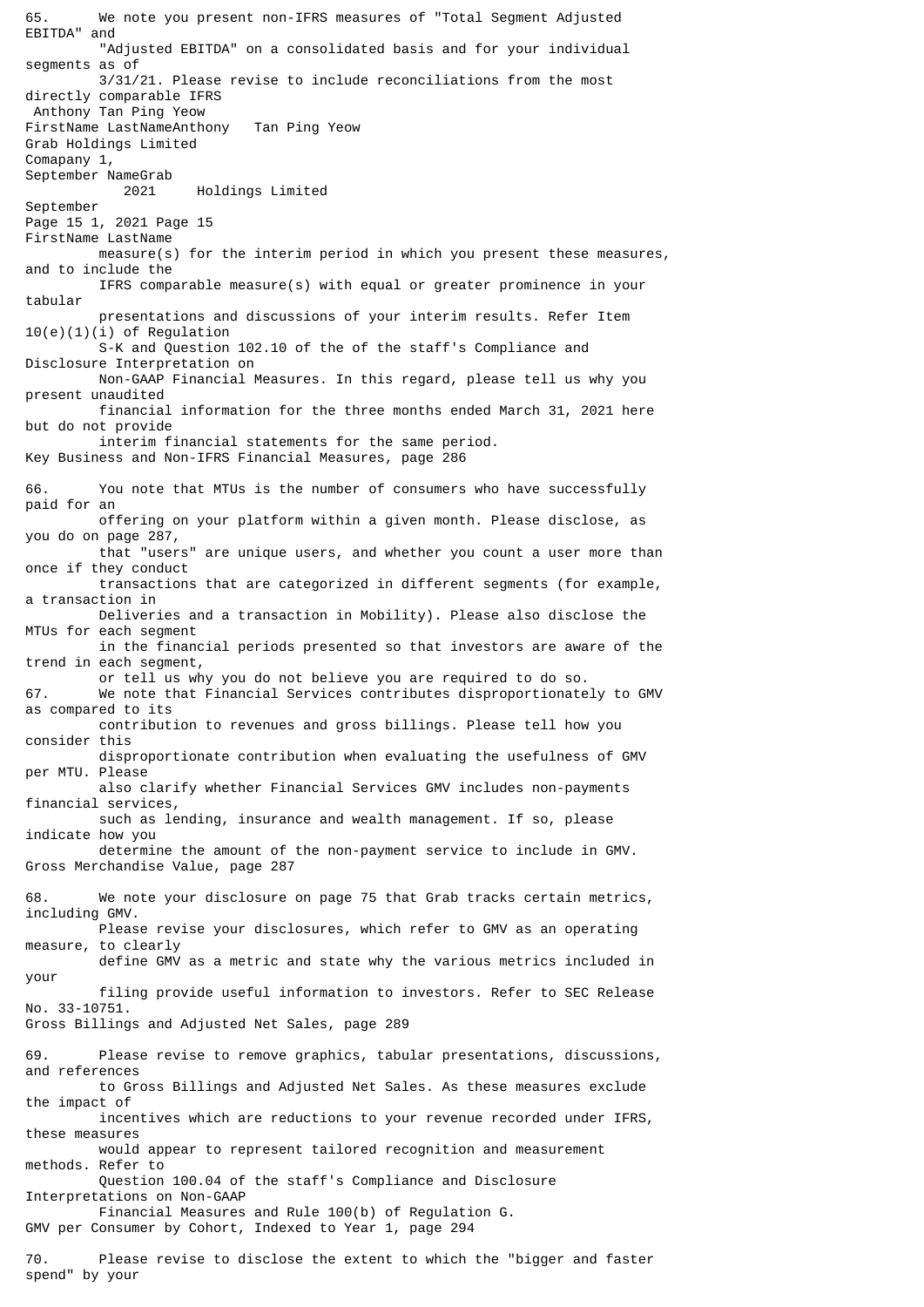65. We note you present non-IFRS measures of "Total Segment Adjusted EBITDA" and "Adjusted EBITDA" on a consolidated basis and for your individual segments as of 3/31/21. Please revise to include reconciliations from the most directly comparable IFRS Anthony Tan Ping Yeow FirstName LastNameAnthony Tan Ping Yeow Grab Holdings Limited Comapany 1, September NameGrab 2021 Holdings Limited September Page 15 1, 2021 Page 15 FirstName LastName measure(s) for the interim period in which you present these measures, and to include the IFRS comparable measure(s) with equal or greater prominence in your tabular presentations and discussions of your interim results. Refer Item 10(e)(1)(i) of Regulation S-K and Question 102.10 of the of the staff's Compliance and Disclosure Interpretation on Non-GAAP Financial Measures. In this regard, please tell us why you present unaudited financial information for the three months ended March 31, 2021 here but do not provide interim financial statements for the same period. Key Business and Non-IFRS Financial Measures, page 286 66. You note that MTUs is the number of consumers who have successfully paid for an offering on your platform within a given month. Please disclose, as you do on page 287, that "users" are unique users, and whether you count a user more than once if they conduct transactions that are categorized in different segments (for example, a transaction in Deliveries and a transaction in Mobility). Please also disclose the MTUs for each segment in the financial periods presented so that investors are aware of the trend in each segment, or tell us why you do not believe you are required to do so. 67. We note that Financial Services contributes disproportionately to GMV as compared to its contribution to revenues and gross billings. Please tell how you consider this disproportionate contribution when evaluating the usefulness of GMV per MTU. Please also clarify whether Financial Services GMV includes non-payments financial services, such as lending, insurance and wealth management. If so, please indicate how you determine the amount of the non-payment service to include in GMV. Gross Merchandise Value, page 287 68. We note your disclosure on page 75 that Grab tracks certain metrics, including GMV. Please revise your disclosures, which refer to GMV as an operating measure, to clearly define GMV as a metric and state why the various metrics included in your filing provide useful information to investors. Refer to SEC Release No. 33-10751. Gross Billings and Adjusted Net Sales, page 289 69. Please revise to remove graphics, tabular presentations, discussions, and references to Gross Billings and Adjusted Net Sales. As these measures exclude the impact of incentives which are reductions to your revenue recorded under IFRS, these measures would appear to represent tailored recognition and measurement methods. Refer to Question 100.04 of the staff's Compliance and Disclosure Interpretations on Non-GAAP Financial Measures and Rule 100(b) of Regulation G. GMV per Consumer by Cohort, Indexed to Year 1, page 294 70. Please revise to disclose the extent to which the "bigger and faster

spend" by your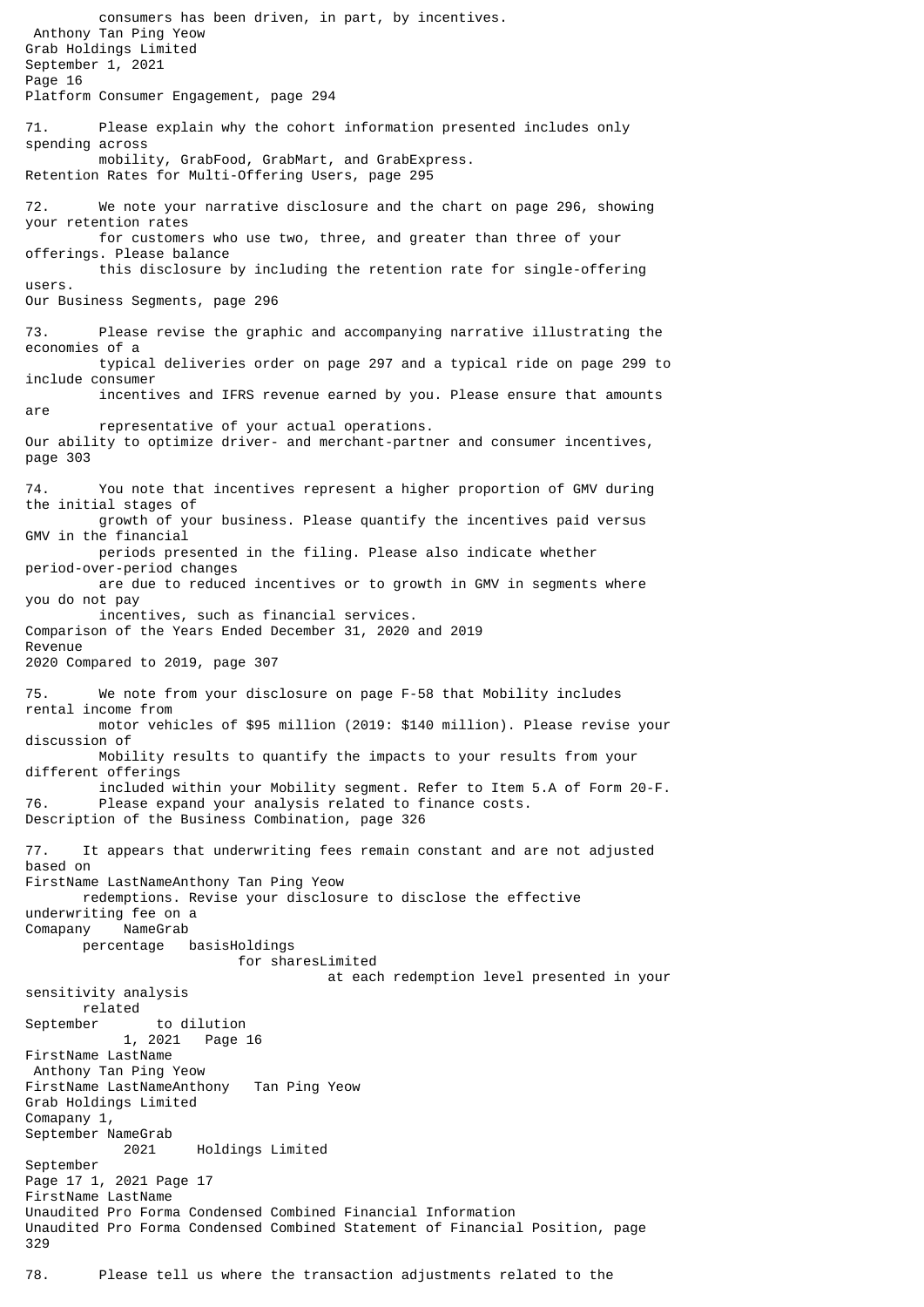consumers has been driven, in part, by incentives. Anthony Tan Ping Yeow Grab Holdings Limited September 1, 2021 Page 16 Platform Consumer Engagement, page 294 71. Please explain why the cohort information presented includes only spending across mobility, GrabFood, GrabMart, and GrabExpress. Retention Rates for Multi-Offering Users, page 295 72. We note your narrative disclosure and the chart on page 296, showing your retention rates for customers who use two, three, and greater than three of your offerings. Please balance this disclosure by including the retention rate for single-offering users. Our Business Segments, page 296 73. Please revise the graphic and accompanying narrative illustrating the economies of a typical deliveries order on page 297 and a typical ride on page 299 to include consumer incentives and IFRS revenue earned by you. Please ensure that amounts are representative of your actual operations. Our ability to optimize driver- and merchant-partner and consumer incentives, page 303 74. You note that incentives represent a higher proportion of GMV during the initial stages of growth of your business. Please quantify the incentives paid versus GMV in the financial periods presented in the filing. Please also indicate whether period-over-period changes are due to reduced incentives or to growth in GMV in segments where you do not pay incentives, such as financial services. Comparison of the Years Ended December 31, 2020 and 2019 Revenue 2020 Compared to 2019, page 307 75. We note from your disclosure on page F-58 that Mobility includes rental income from motor vehicles of \$95 million (2019: \$140 million). Please revise your discussion of Mobility results to quantify the impacts to your results from your different offerings included within your Mobility segment. Refer to Item 5.A of Form 20-F. 76. Please expand your analysis related to finance costs. Description of the Business Combination, page 326 77. It appears that underwriting fees remain constant and are not adjusted based on FirstName LastNameAnthony Tan Ping Yeow redemptions. Revise your disclosure to disclose the effective underwriting fee on a Comapany NameGrab percentage basisHoldings for sharesLimited at each redemption level presented in your sensitivity analysis related September to dilution 1, 2021 Page 16 FirstName LastName Anthony Tan Ping Yeow FirstName LastNameAnthony Tan Ping Yeow Grab Holdings Limited Comapany 1, September NameGrab 2021 Holdings Limited September Page 17 1, 2021 Page 17 FirstName LastName Unaudited Pro Forma Condensed Combined Financial Information Unaudited Pro Forma Condensed Combined Statement of Financial Position, page 329 78. Please tell us where the transaction adjustments related to the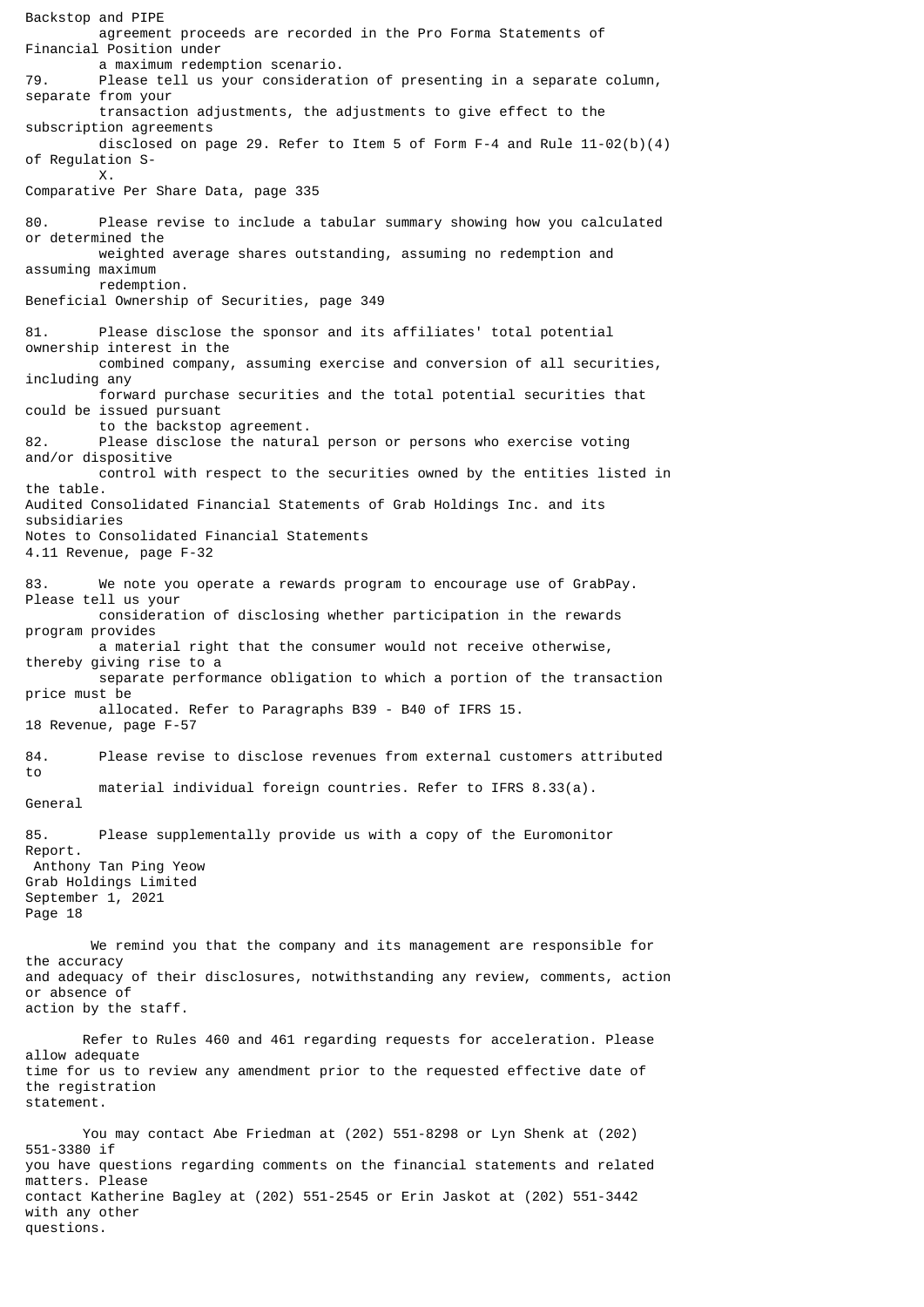Backstop and PIPE agreement proceeds are recorded in the Pro Forma Statements of Financial Position under a maximum redemption scenario.<br>Please tell us your considerat Please tell us your consideration of presenting in a separate column, separate from your transaction adjustments, the adjustments to give effect to the subscription agreements disclosed on page 29. Refer to Item 5 of Form F-4 and Rule  $11-02(b)(4)$ of Regulation S- X. Comparative Per Share Data, page 335 80. Please revise to include a tabular summary showing how you calculated or determined the weighted average shares outstanding, assuming no redemption and assuming maximum redemption. Beneficial Ownership of Securities, page 349 81. Please disclose the sponsor and its affiliates' total potential ownership interest in the combined company, assuming exercise and conversion of all securities, including any forward purchase securities and the total potential securities that could be issued pursuant to the backstop agreement. 82. Please disclose the natural person or persons who exercise voting and/or dispositive control with respect to the securities owned by the entities listed in the table. Audited Consolidated Financial Statements of Grab Holdings Inc. and its subsidiaries Notes to Consolidated Financial Statements 4.11 Revenue, page F-32 83. We note you operate a rewards program to encourage use of GrabPay. Please tell us your consideration of disclosing whether participation in the rewards program provides a material right that the consumer would not receive otherwise, thereby giving rise to a separate performance obligation to which a portion of the transaction price must be allocated. Refer to Paragraphs B39 - B40 of IFRS 15. 18 Revenue, page F-57 84. Please revise to disclose revenues from external customers attributed to material individual foreign countries. Refer to IFRS 8.33(a). General 85. Please supplementally provide us with a copy of the Euromonitor Report. Anthony Tan Ping Yeow Grab Holdings Limited September 1, 2021 Page 18 We remind you that the company and its management are responsible for the accuracy and adequacy of their disclosures, notwithstanding any review, comments, action or absence of action by the staff. Refer to Rules 460 and 461 regarding requests for acceleration. Please allow adequate time for us to review any amendment prior to the requested effective date of the registration statement. You may contact Abe Friedman at (202) 551-8298 or Lyn Shenk at (202) 551-3380 if you have questions regarding comments on the financial statements and related matters. Please contact Katherine Bagley at (202) 551-2545 or Erin Jaskot at (202) 551-3442

with any other questions.